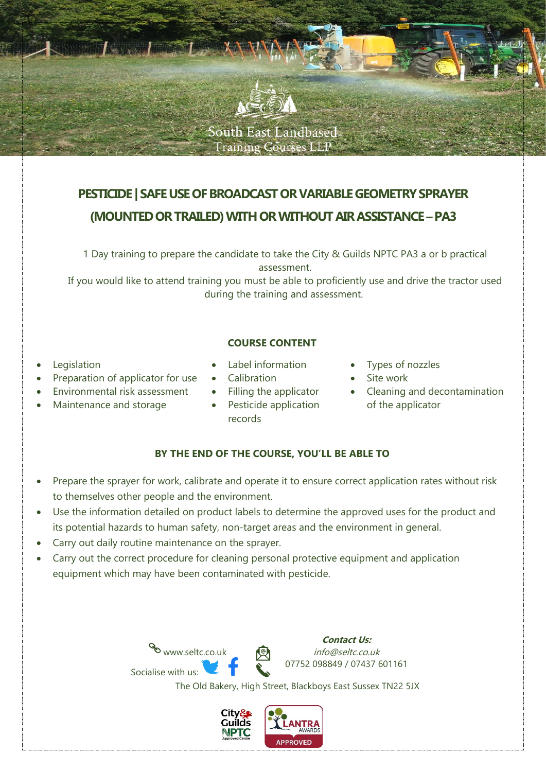

# **PESTICIDE | SAFE USE OF BROADCAST OR VARIABLE GEOMETRY SPRAYER (MOUNTEDOR TRAILED) WITH OR WITHOUT AIR ASSISTANCE –PA3**

1 Day training to prepare the candidate to take the City & Guilds NPTC PA3 a or b practical assessment.

If you would like to attend training you must be able to proficiently use and drive the tractor used during the training and assessment.

## **COURSE CONTENT**

- **Legislation**
- Preparation of applicator for use
- Environmental risk assessment
- Maintenance and storage
- Label information
- **Calibration**
- Filling the applicator
- Pesticide application records
- Types of nozzles
- Site work
- Cleaning and decontamination of the applicator

## **BY THE END OF THE COURSE, YOU'LL BE ABLE TO**

- Prepare the sprayer for work, calibrate and operate it to ensure correct application rates without risk to themselves other people and the environment.
- Use the information detailed on product labels to determine the approved uses for the product and its potential hazards to human safety, non-target areas and the environment in general.
- Carry out daily routine maintenance on the sprayer.
- Carry out the correct procedure for cleaning personal protective equipment and application equipment which may have been contaminated with pesticide.